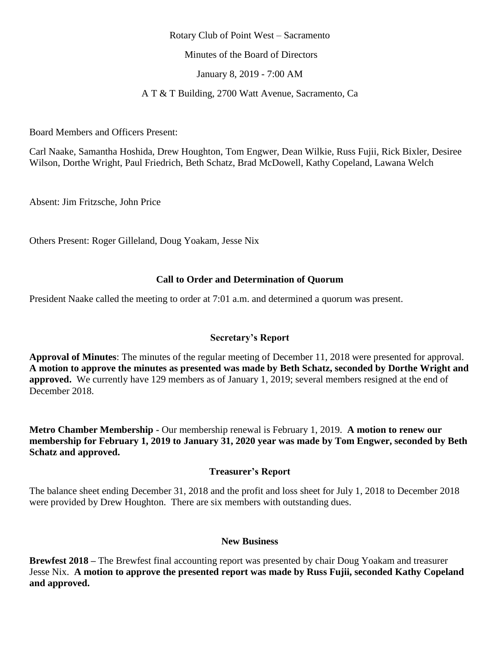### Rotary Club of Point West – Sacramento

Minutes of the Board of Directors

January 8, 2019 - 7:00 AM

A T & T Building, 2700 Watt Avenue, Sacramento, Ca

Board Members and Officers Present:

Carl Naake, Samantha Hoshida, Drew Houghton, Tom Engwer, Dean Wilkie, Russ Fujii, Rick Bixler, Desiree Wilson, Dorthe Wright, Paul Friedrich, Beth Schatz, Brad McDowell, Kathy Copeland, Lawana Welch

Absent: Jim Fritzsche, John Price

Others Present: Roger Gilleland, Doug Yoakam, Jesse Nix

## **Call to Order and Determination of Quorum**

President Naake called the meeting to order at 7:01 a.m. and determined a quorum was present.

## **Secretary's Report**

**Approval of Minutes**: The minutes of the regular meeting of December 11, 2018 were presented for approval. **A motion to approve the minutes as presented was made by Beth Schatz, seconded by Dorthe Wright and approved.** We currently have 129 members as of January 1, 2019; several members resigned at the end of December 2018.

**Metro Chamber Membership -** Our membership renewal is February 1, 2019. **A motion to renew our membership for February 1, 2019 to January 31, 2020 year was made by Tom Engwer, seconded by Beth Schatz and approved.** 

### **Treasurer's Report**

The balance sheet ending December 31, 2018 and the profit and loss sheet for July 1, 2018 to December 2018 were provided by Drew Houghton. There are six members with outstanding dues.

#### **New Business**

**Brewfest 2018 –** The Brewfest final accounting report was presented by chair Doug Yoakam and treasurer Jesse Nix. **A motion to approve the presented report was made by Russ Fujii, seconded Kathy Copeland and approved.**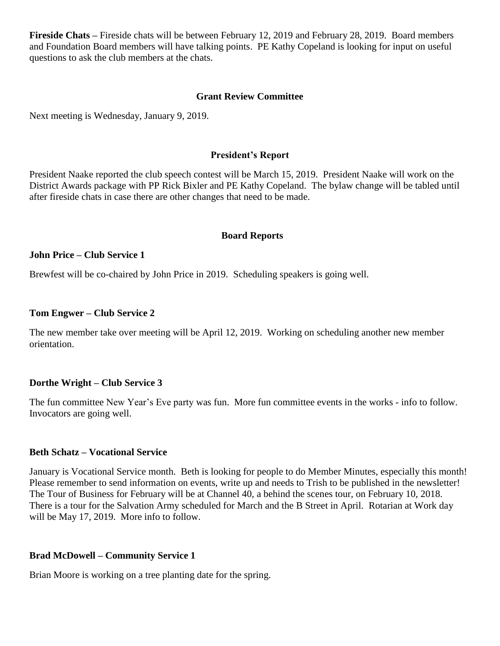**Fireside Chats –** Fireside chats will be between February 12, 2019 and February 28, 2019. Board members and Foundation Board members will have talking points. PE Kathy Copeland is looking for input on useful questions to ask the club members at the chats.

### **Grant Review Committee**

Next meeting is Wednesday, January 9, 2019.

#### **President's Report**

President Naake reported the club speech contest will be March 15, 2019. President Naake will work on the District Awards package with PP Rick Bixler and PE Kathy Copeland. The bylaw change will be tabled until after fireside chats in case there are other changes that need to be made.

#### **Board Reports**

#### **John Price – Club Service 1**

Brewfest will be co-chaired by John Price in 2019. Scheduling speakers is going well.

#### **Tom Engwer – Club Service 2**

The new member take over meeting will be April 12, 2019. Working on scheduling another new member orientation.

#### **Dorthe Wright – Club Service 3**

The fun committee New Year's Eve party was fun. More fun committee events in the works - info to follow. Invocators are going well.

#### **Beth Schatz – Vocational Service**

January is Vocational Service month. Beth is looking for people to do Member Minutes, especially this month! Please remember to send information on events, write up and needs to Trish to be published in the newsletter! The Tour of Business for February will be at Channel 40, a behind the scenes tour, on February 10, 2018. There is a tour for the Salvation Army scheduled for March and the B Street in April. Rotarian at Work day will be May 17, 2019. More info to follow.

#### **Brad McDowell – Community Service 1**

Brian Moore is working on a tree planting date for the spring.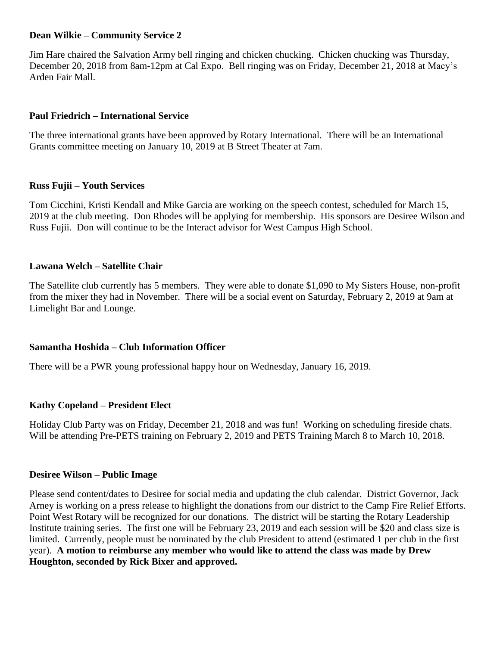## **Dean Wilkie – Community Service 2**

Jim Hare chaired the Salvation Army bell ringing and chicken chucking. Chicken chucking was Thursday, December 20, 2018 from 8am-12pm at Cal Expo. Bell ringing was on Friday, December 21, 2018 at Macy's Arden Fair Mall.

## **Paul Friedrich – International Service**

The three international grants have been approved by Rotary International. There will be an International Grants committee meeting on January 10, 2019 at B Street Theater at 7am.

## **Russ Fujii – Youth Services**

Tom Cicchini, Kristi Kendall and Mike Garcia are working on the speech contest, scheduled for March 15, 2019 at the club meeting. Don Rhodes will be applying for membership. His sponsors are Desiree Wilson and Russ Fujii. Don will continue to be the Interact advisor for West Campus High School.

## **Lawana Welch – Satellite Chair**

The Satellite club currently has 5 members. They were able to donate \$1,090 to My Sisters House, non-profit from the mixer they had in November. There will be a social event on Saturday, February 2, 2019 at 9am at Limelight Bar and Lounge.

## **Samantha Hoshida – Club Information Officer**

There will be a PWR young professional happy hour on Wednesday, January 16, 2019.

## **Kathy Copeland – President Elect**

Holiday Club Party was on Friday, December 21, 2018 and was fun! Working on scheduling fireside chats. Will be attending Pre-PETS training on February 2, 2019 and PETS Training March 8 to March 10, 2018.

## **Desiree Wilson – Public Image**

Please send content/dates to Desiree for social media and updating the club calendar. District Governor, Jack Arney is working on a press release to highlight the donations from our district to the Camp Fire Relief Efforts. Point West Rotary will be recognized for our donations. The district will be starting the Rotary Leadership Institute training series. The first one will be February 23, 2019 and each session will be \$20 and class size is limited. Currently, people must be nominated by the club President to attend (estimated 1 per club in the first year). **A motion to reimburse any member who would like to attend the class was made by Drew Houghton, seconded by Rick Bixer and approved.**